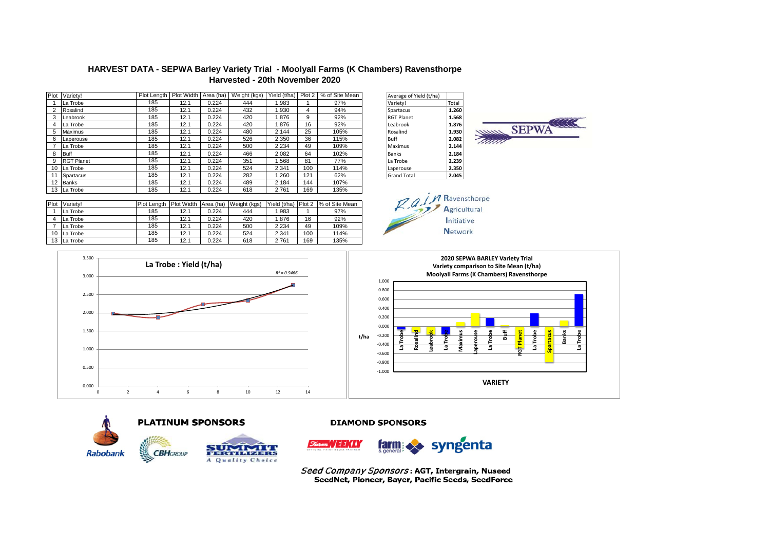## **HARVEST DATA - SEPWA Barley Variety Trial - Moolyall Farms (K Chambers) Ravensthorpe Harvested - 20th November 2020**

| Plot | Varietv!          | Plot Length | Plot Width | Area (ha) | Weight (kgs) | Yield (t/ha) Plot 2 |     | % of Site Mean | Average of Yield (t/ha) |       |
|------|-------------------|-------------|------------|-----------|--------------|---------------------|-----|----------------|-------------------------|-------|
|      | La Trobe          | 185         | 12.1       | 0.224     | 444          | 1.983               |     | 97%            | Variety!                | Total |
|      | Rosalind          | 185         | 12.1       | 0.224     | 432          | 1.930               | 4   | 94%            | Spartacus               | 1.260 |
|      | <b>ILeabrook</b>  | 185         | 12.1       | 0.224     | 420          | 1.876               | 9   | 92%            | <b>RGT Planet</b>       | 1.568 |
| 4    | La Trobe          | 185         | 12.1       | 0.224     | 420          | 1.876               | 16  | 92%            | Leabrook                | 1.876 |
| 5    | Maximus           | 185         | 12.1       | 0.224     | 480          | 2.144               | 25  | 105%           | Rosalind                | 1.930 |
|      | Laperouse         | 185         | 12.1       | 0.224     | 526          | 2.350               | 36  | 115%           | Buff                    | 2.082 |
|      | La Trobe          | 185         | 12.1       | 0.224     | 500          | 2.234               | 49  | 109%           | Maximus                 | 2.144 |
| 8    | <b>Buff</b>       | 185         | 12.1       | 0.224     | 466          | 2.082               | 64  | 102%           | Banks                   | 2.184 |
|      | <b>RGT Planet</b> | 185         | 12.1       | 0.224     | 351          | 1.568               | 81  | 77%            | La Trobe                | 2.239 |
| 10   | La Trobe          | 185         | 12.1       | 0.224     | 524          | 2.341               | 100 | 114%           | Laperouse               | 2.350 |
|      | Spartacus         | 185         | 12.1       | 0.224     | 282          | 1.260               | 121 | 62%            | <b>Grand Total</b>      | 2.045 |
| 12   | Banks             | 185         | 12.1       | 0.224     | 489          | 2.184               | 144 | 107%           |                         |       |
|      | 13 La Trobe       | 185         | 12.1       | 0.224     | 618          | 2.761               | 169 | 135%           |                         |       |

| Average of Yield (t/ha) |       |
|-------------------------|-------|
| Variety!                | Total |
| Spartacus               | 1.260 |
| <b>RGT Planet</b>       | 1.568 |
| Leabrook                | 1.876 |
| Rosalind                | 1.930 |
| Buff                    | 2.082 |
| Maximus                 | 2.144 |
| <b>Banks</b>            | 2.184 |
| La Trobe                | 2.239 |
| Laperouse               | 2.350 |
| <b>Grand Total</b>      | 2.04  |



| Plot | Variety! | Plot Lenath | Plot Width Area (ha) |       | Weight (kgs) | Yield (t/ha) | Plot 2 | % of Site Mean |
|------|----------|-------------|----------------------|-------|--------------|--------------|--------|----------------|
|      | La Trobe | 185         | 12.1                 | 0.224 | 444          | 1.983        |        | 97%            |
|      | La Trobe | 185         | 12.1                 | 0.224 | 420          | 1.876        | 16     | 92%            |
|      | La Trobe | 185         | 12.1                 | 0.224 | 500          | 2.234        | 49     | 109%           |
| 10   | La Trobe | 185         | 12.1                 | 0.224 | 524          | 2.341        | 100    | 114%           |
| 13   | La Trobe | 185         | 12.1                 | 0.224 | 618          | 2.761        | 169    | 135%           |









## **DIAMOND SPONSORS**



Seed Company Sponsors: AGT, Intergrain, Nuseed SeedNet, Pioneer, Bayer, Pacific Seeds, SeedForce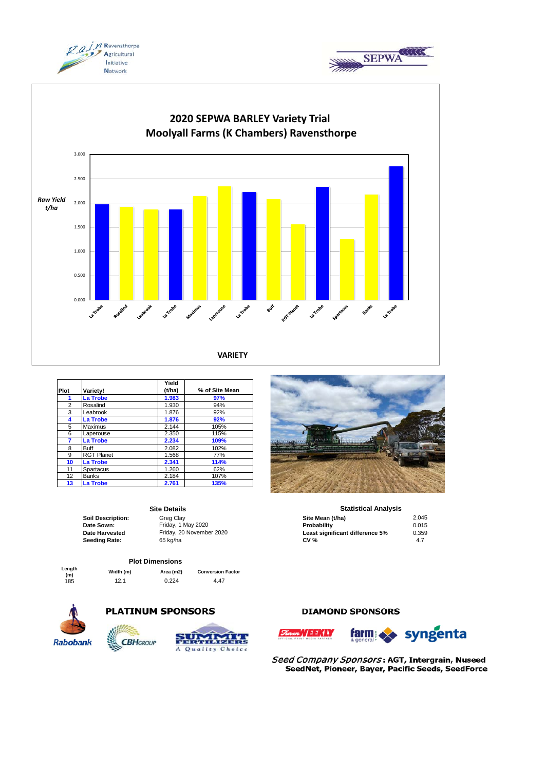





|      |                   | Yield  |                |
|------|-------------------|--------|----------------|
| Plot | Variety!          | (t/ha) | % of Site Mean |
| 1    | <b>La Trobe</b>   | 1.983  | 97%            |
| 2    | Rosalind          | 1.930  | 94%            |
| 3    | Leabrook          | 1.876  | 92%            |
| 4    | <b>La Trobe</b>   | 1.876  | 92%            |
| 5    | Maximus           | 2.144  | 105%           |
| 6    | Laperouse         | 2.350  | 115%           |
| 7    | La Trobe          | 2.234  | 109%           |
| 8    | <b>Buff</b>       | 2.082  | 102%           |
| 9    | <b>RGT Planet</b> | 1.568  | 77%            |
| 10   | <b>La Trobe</b>   | 2.341  | 114%           |
| 11   | Spartacus         | 1.260  | 62%            |
| 12   | <b>Banks</b>      | 2.184  | 107%           |
| 13   | <b>La Trobe</b>   | 2.761  | 135%           |

## **Site Details**

# **Plot Dimensions**

**Length** 

**(m) Width (m) Area (m2) Conversion Factor** 0.224

**PLATINUM SPONSORS** 









### **Statistical Analysis**

| Soil Description: | Grea Clav                | Site Mean (t/ha)                | 2.045 |
|-------------------|--------------------------|---------------------------------|-------|
| Date Sown:        | Friday, 1 May 2020       | Probability                     | 0.015 |
| Date Harvested    | Friday, 20 November 2020 | Least significant difference 5% | 0.359 |
| Seeding Rate:     | 65 kg/ha                 | <b>CV %</b>                     | 4.7   |

## **DIAMOND SPONSORS**





Seed Company Sponsors: AGT, Intergrain, Nuseed SeedNet, Pioneer, Bayer, Pacific Seeds, SeedForce